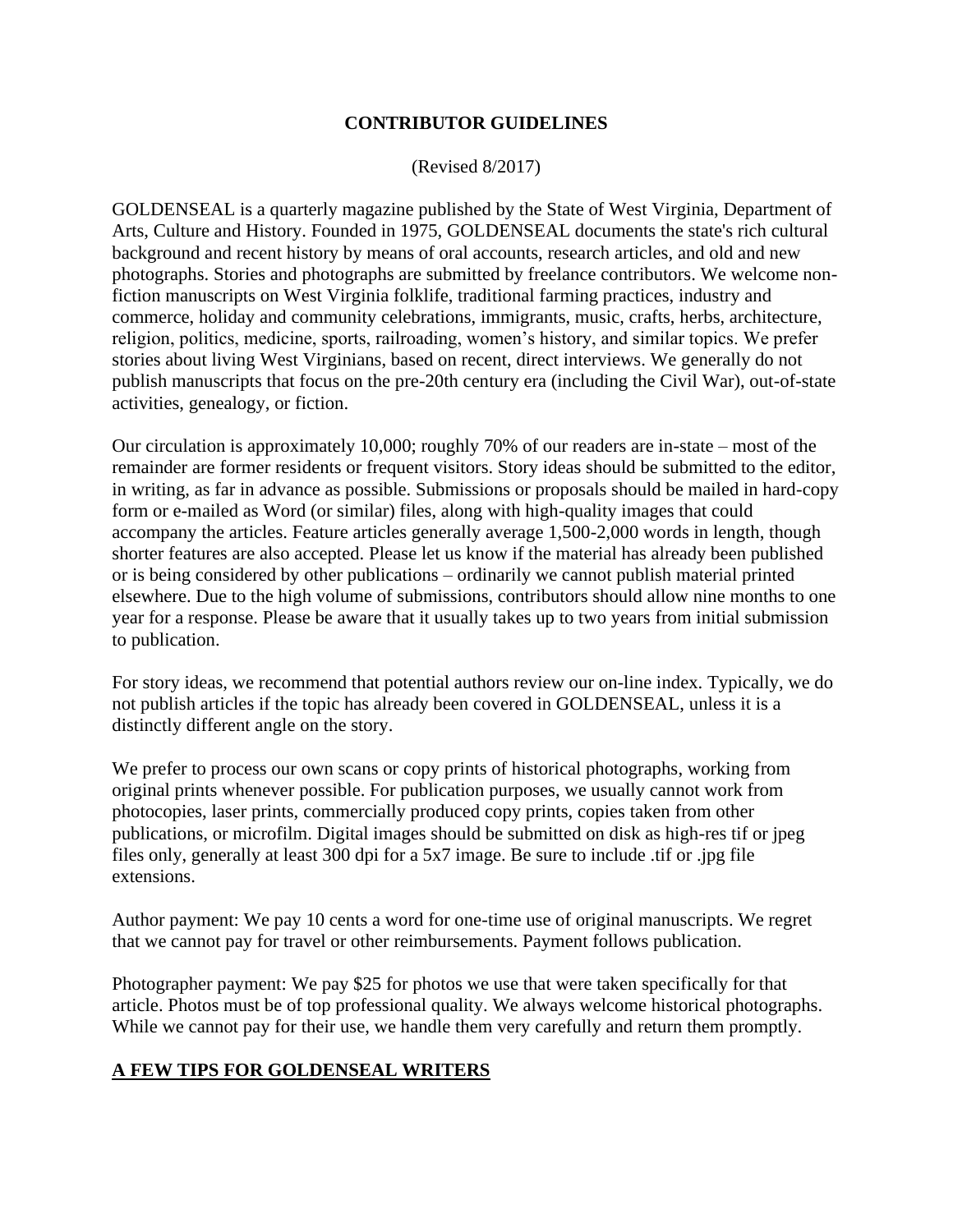## **CONTRIBUTOR GUIDELINES**

(Revised 8/2017)

GOLDENSEAL is a quarterly magazine published by the State of West Virginia, Department of Arts, Culture and History. Founded in 1975, GOLDENSEAL documents the state's rich cultural background and recent history by means of oral accounts, research articles, and old and new photographs. Stories and photographs are submitted by freelance contributors. We welcome nonfiction manuscripts on West Virginia folklife, traditional farming practices, industry and commerce, holiday and community celebrations, immigrants, music, crafts, herbs, architecture, religion, politics, medicine, sports, railroading, women's history, and similar topics. We prefer stories about living West Virginians, based on recent, direct interviews. We generally do not publish manuscripts that focus on the pre-20th century era (including the Civil War), out-of-state activities, genealogy, or fiction.

Our circulation is approximately 10,000; roughly 70% of our readers are in-state – most of the remainder are former residents or frequent visitors. Story ideas should be submitted to the editor, in writing, as far in advance as possible. Submissions or proposals should be mailed in hard-copy form or e-mailed as Word (or similar) files, along with high-quality images that could accompany the articles. Feature articles generally average 1,500-2,000 words in length, though shorter features are also accepted. Please let us know if the material has already been published or is being considered by other publications – ordinarily we cannot publish material printed elsewhere. Due to the high volume of submissions, contributors should allow nine months to one year for a response. Please be aware that it usually takes up to two years from initial submission to publication.

For story ideas, we recommend that potential authors review our on-line index. Typically, we do not publish articles if the topic has already been covered in GOLDENSEAL, unless it is a distinctly different angle on the story.

We prefer to process our own scans or copy prints of historical photographs, working from original prints whenever possible. For publication purposes, we usually cannot work from photocopies, laser prints, commercially produced copy prints, copies taken from other publications, or microfilm. Digital images should be submitted on disk as high-res tif or jpeg files only, generally at least 300 dpi for a 5x7 image. Be sure to include .tif or .jpg file extensions.

Author payment: We pay 10 cents a word for one-time use of original manuscripts. We regret that we cannot pay for travel or other reimbursements. Payment follows publication.

Photographer payment: We pay \$25 for photos we use that were taken specifically for that article. Photos must be of top professional quality. We always welcome historical photographs. While we cannot pay for their use, we handle them very carefully and return them promptly.

## **A FEW TIPS FOR GOLDENSEAL WRITERS**